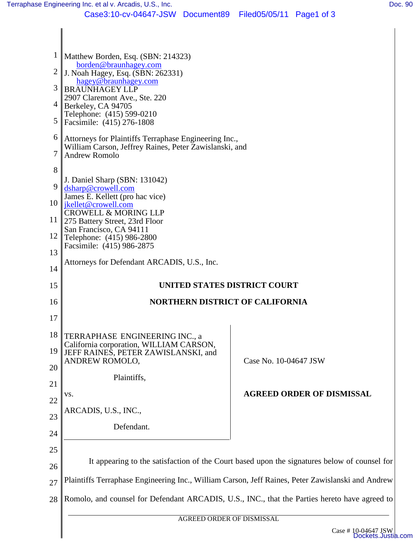| $\frac{1}{2}$ Matthew Borden, Esq. (SBN: 214323)                                                        |                                                                                                                                                                                                       |
|---------------------------------------------------------------------------------------------------------|-------------------------------------------------------------------------------------------------------------------------------------------------------------------------------------------------------|
| borden@braunhagey.com<br>$\parallel$ J. Noah Hagey, Esq. (SBN: 262331)                                  |                                                                                                                                                                                                       |
| <b>BRAUNHAGEY LLP</b>                                                                                   |                                                                                                                                                                                                       |
| $4$ Berkeley, CA 94705                                                                                  |                                                                                                                                                                                                       |
| Telephone: (415) 599-0210<br>Facsimile: (415) 276-1808                                                  |                                                                                                                                                                                                       |
| Attorneys for Plaintiffs Terraphase Engineering Inc.,                                                   |                                                                                                                                                                                                       |
| William Carson, Jeffrey Raines, Peter Zawislanski, and<br><b>Andrew Romolo</b>                          |                                                                                                                                                                                                       |
|                                                                                                         |                                                                                                                                                                                                       |
| J. Daniel Sharp (SBN: 131042)<br>dsharp@crowell.com                                                     |                                                                                                                                                                                                       |
| James E. Kellett (pro hac vice)<br>10   <i>ikellet@crowell.com</i><br><b>CROWELL &amp; MORING LLP</b>   |                                                                                                                                                                                                       |
|                                                                                                         |                                                                                                                                                                                                       |
| San Francisco, CA 94111                                                                                 |                                                                                                                                                                                                       |
| Facsimile: (415) 986-2875                                                                               |                                                                                                                                                                                                       |
| Attorneys for Defendant ARCADIS, U.S., Inc.                                                             |                                                                                                                                                                                                       |
| UNITED STATES DISTRICT COURT                                                                            |                                                                                                                                                                                                       |
| <b>NORTHERN DISTRICT OF CALIFORNIA</b><br>16                                                            |                                                                                                                                                                                                       |
|                                                                                                         |                                                                                                                                                                                                       |
|                                                                                                         |                                                                                                                                                                                                       |
| California corporation, WILLIAM CARSON,                                                                 |                                                                                                                                                                                                       |
| ANDREW ROMOLO,                                                                                          | Case No. 10-04647 JSW                                                                                                                                                                                 |
| Plaintiffs,                                                                                             |                                                                                                                                                                                                       |
| VS.                                                                                                     | <b>AGREED ORDER OF DISMISSAL</b>                                                                                                                                                                      |
| ARCADIS, U.S., INC.,                                                                                    |                                                                                                                                                                                                       |
| Defendant.                                                                                              |                                                                                                                                                                                                       |
|                                                                                                         |                                                                                                                                                                                                       |
| It appearing to the satisfaction of the Court based upon the signatures below of counsel for            |                                                                                                                                                                                                       |
| 26<br>Plaintiffs Terraphase Engineering Inc., William Carson, Jeff Raines, Peter Zawislanski and Andrew |                                                                                                                                                                                                       |
|                                                                                                         |                                                                                                                                                                                                       |
| Romolo, and counsel for Defendant ARCADIS, U.S., INC., that the Parties hereto have agreed to           |                                                                                                                                                                                                       |
| AGREED ORDER OF DISMISSAL                                                                               |                                                                                                                                                                                                       |
|                                                                                                         | hagey@braunhagey.com<br>2907 Claremont Ave., Ste. 220<br>11   275 Battery Street, 23rd Floor<br>Telephone: (415) 986-2800<br>18 TERRAPHASE ENGINEERING INC., a<br>JEFF RAINES, PETER ZAWISLANSKI, and |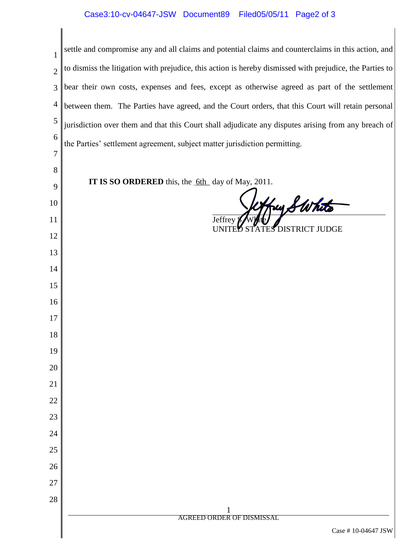## Case3:10-cv-04647-JSW Document89 Filed05/05/11 Page2 of 3

| $\mathbf{1}$   | settle and compromise any and all claims and potential claims and counterclaims in this action, and      |
|----------------|----------------------------------------------------------------------------------------------------------|
| $\overline{2}$ | to dismiss the litigation with prejudice, this action is hereby dismissed with prejudice, the Parties to |
| 3              | bear their own costs, expenses and fees, except as otherwise agreed as part of the settlement            |
| $\overline{4}$ | between them. The Parties have agreed, and the Court orders, that this Court will retain personal        |
| 5              | jurisdiction over them and that this Court shall adjudicate any disputes arising from any breach of      |
| 6              | the Parties' settlement agreement, subject matter jurisdiction permitting.                               |
| 7              |                                                                                                          |
| 8              | <b>IT IS SO ORDERED</b> this, the <u>6th</u> day of May, 2011.                                           |
| 9<br>10        |                                                                                                          |
| 11             | frey SWhits<br>Jeffrey                                                                                   |
| 12             | <b>TES DISTRICT JUDGE</b><br>UNITED STA                                                                  |
| 13             |                                                                                                          |
| 14             |                                                                                                          |
| 15             |                                                                                                          |
| 16             |                                                                                                          |
| 17             |                                                                                                          |
| 18             |                                                                                                          |
| 19             |                                                                                                          |
| 20<br>21       |                                                                                                          |
| 22             |                                                                                                          |
| 23             |                                                                                                          |
| 24             |                                                                                                          |
| 25             |                                                                                                          |
| 26             |                                                                                                          |
| 27             |                                                                                                          |
| 28             |                                                                                                          |
|                | <b>AGREED ORDER OF DISMISSAL</b>                                                                         |
|                | Case #10-04647 JSW                                                                                       |